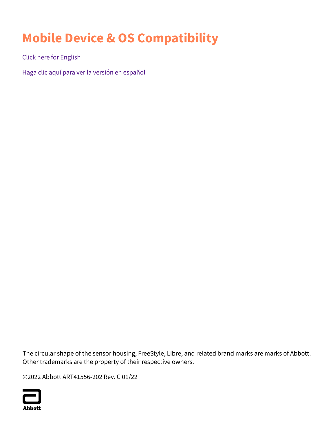# **Mobile Device & OS Compatibility**

[Click here for English](#page-1-0)

[Haga clic aquí para ver la versión en español](#page-3-0)

The circular shape of the sensor housing, FreeStyle, Libre, and related brand marks are marks of Abbott. Other trademarks are the property of their respective owners.

©2022 Abbott ART41556-202 Rev. C 01/22

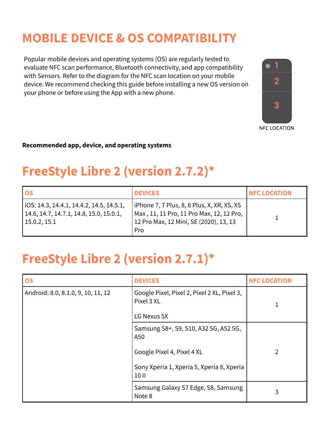## <span id="page-1-0"></span>**MOBILE DEVICE & OS COMPATIBILITY**

Popular mobile devices and operating systems (OS) are regularly tested to evaluate NFC scan performance, Bluetooth connectivity, and app compatibility with Sensors. Refer to the diagram for the NFC scan location on your mobile device. We recommend checking this guide before installing a new OS version on your phone or before using the App with a new phone.



**NFC LOCATION** 

#### **Recommended app, device, and operating systems**

## **FreeStyle Libre 2 (version 2.7.2)\***

| <b>IOS</b>                                                                                            | <b>DEVICES</b>                                                                                                                          | <b>INFC LOCATION</b> |
|-------------------------------------------------------------------------------------------------------|-----------------------------------------------------------------------------------------------------------------------------------------|----------------------|
| $IOS: 14.3, 14.4.1, 14.4.2, 14.5, 14.5.1,$<br>14.6, 14.7, 14.7.1, 14.8, 15.0, 15.0.1,<br>15.0.2, 15.1 | iPhone 7, 7 Plus, 8, 8 Plus, X, XR, XS, XS<br>Max, 11, 11 Pro, 11 Pro Max, 12, 12 Pro,<br>12 Pro Max, 12 Mini, SE (2020), 13, 13<br>Pro |                      |

### **FreeStyle Libre 2 (version 2.7.1)\***

| <b>OS</b>                          | <b>DEVICES</b>                                            | <b>NFC LOCATION</b> |
|------------------------------------|-----------------------------------------------------------|---------------------|
| Android: 8.0, 8.1.0, 9, 10, 11, 12 | Google Pixel, Pixel 2, Pixel 2 XL, Pixel 3,<br>Pixel 3 XL | 1                   |
|                                    | LG Nexus 5X                                               |                     |
|                                    | Samsung S8+, S9, S10, A32 5G, A52 5G,<br>A50              |                     |
|                                    | Google Pixel 4, Pixel 4 XL                                | $\overline{2}$      |
|                                    | Sony Xperia 1, Xperia 5, Xperia 8, Xperia<br>10 II        |                     |
|                                    | Samsung Galaxy S7 Edge, S8, Samsung<br>Note 8             | 3                   |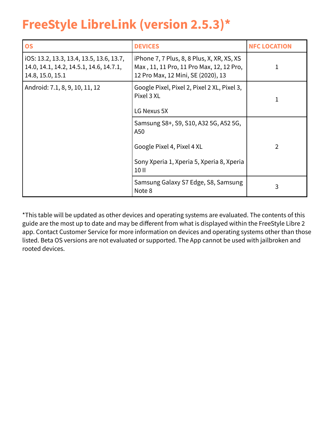## **FreeStyle LibreLink (version 2.5.3)\***

| <b>OS</b>                                                                                               | <b>DEVICES</b>                                                                                                                   | <b>NFC LOCATION</b> |
|---------------------------------------------------------------------------------------------------------|----------------------------------------------------------------------------------------------------------------------------------|---------------------|
| iOS: 13.2, 13.3, 13.4, 13.5, 13.6, 13.7,<br>14.0, 14.1, 14.2, 14.5.1, 14.6, 14.7.1,<br>14.8, 15.0, 15.1 | iPhone 7, 7 Plus, 8, 8 Plus, X, XR, XS, XS<br>Max, 11, 11 Pro, 11 Pro Max, 12, 12 Pro,<br>12 Pro Max, 12 Mini, SE (2020), 13     |                     |
| Android: 7.1, 8, 9, 10, 11, 12                                                                          | Google Pixel, Pixel 2, Pixel 2 XL, Pixel 3,<br>Pixel 3 XL<br>LG Nexus 5X                                                         |                     |
|                                                                                                         | Samsung S8+, S9, S10, A32 5G, A52 5G,<br>A50<br>Google Pixel 4, Pixel 4 XL<br>Sony Xperia 1, Xperia 5, Xperia 8, Xperia<br>10 II | $\overline{2}$      |
|                                                                                                         | Samsung Galaxy S7 Edge, S8, Samsung<br>Note 8                                                                                    | 3                   |

\*This table will be updated as other devices and operating systems are evaluated. The contents of this guide are the most up to date and may be different from what is displayed within the FreeStyle Libre 2 app. Contact Customer Service for more information on devices and operating systems other than those listed. Beta OS versions are not evaluated or supported. The App cannot be used with jailbroken and rooted devices.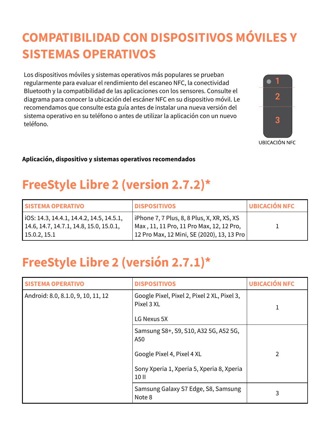## <span id="page-3-0"></span>**COMPATIBILIDAD CON DISPOSITIVOS MÓVILES Y SISTEMAS OPERATIVOS**

Los dispositivos móviles y sistemas operativos más populares se prueban regularmente para evaluar el rendimiento del escaneo NFC, la conectividad Bluetooth y la compatibilidad de las aplicaciones con los sensores. Consulte el diagrama para conocer la ubicación del escáner NFC en su dispositivo móvil. Le recomendamos que consulte esta guía antes de instalar una nueva versión del sistema operativo en su teléfono o antes de utilizar la aplicación con un nuevo teléfono.



**UBICACIÓN NFC** 

#### **Aplicación, dispositivo y sistemas operativos recomendados**

## **FreeStyle Libre 2 (version 2.7.2)\***

| <b>SISTEMA OPERATIVO</b>                                                                            | <b>IDISPOSITIVOS</b>                                                                                                                              | UBICACIÓN NFC |
|-----------------------------------------------------------------------------------------------------|---------------------------------------------------------------------------------------------------------------------------------------------------|---------------|
| iOS: 14.3, 14.4.1, 14.4.2, 14.5, 14.5.1,<br>14.6, 14.7, 14.7.1, 14.8, 15.0, 15.0.1,<br>15.0.2, 15.1 | iPhone 7, 7 Plus, 8, 8 Plus, X, XR, XS, XS<br>Max, 11, 11 Pro, 11 Pro Max, 12, 12 Pro,<br><sup> </sup> 12 Pro Max, 12 Mini, SE (2020), 13, 13 Pro |               |

## **FreeStyle Libre 2 (versión 2.7.1)\***

| <b>SISTEMA OPERATIVO</b>           | <b>DISPOSITIVOS</b>                                                                                                              | <b>UBICACIÓN NFC</b> |
|------------------------------------|----------------------------------------------------------------------------------------------------------------------------------|----------------------|
| Android: 8.0, 8.1.0, 9, 10, 11, 12 | Google Pixel, Pixel 2, Pixel 2 XL, Pixel 3,<br>Pixel 3 XL<br>LG Nexus 5X                                                         |                      |
|                                    | Samsung S8+, S9, S10, A32 5G, A52 5G,<br>A50<br>Google Pixel 4, Pixel 4 XL<br>Sony Xperia 1, Xperia 5, Xperia 8, Xperia<br>10 II | 2                    |
|                                    | Samsung Galaxy S7 Edge, S8, Samsung<br>Note 8                                                                                    | 3                    |